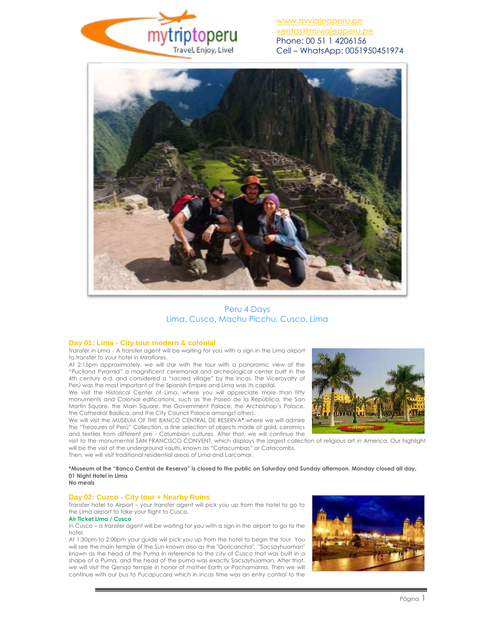



Peru 4 Days Lima, Cusco, Machu Picchu, Cusco, Lima

### **Day 01: Lima - City tour modern & colonial**

Transfer in Lima - A transfer agent will be waiting for you with a sign in the Lima airport to transfer to your hotel in Miraflores.

At 2:15pm approximately, we will star with the tour with a panoramic view of the "Pucllana Pyramid" a magnificent ceremonial and archeological center built in the 4th century a.d. and considered a "sacred village" by the Incas. The Viceroyalty of Perú was the most important of the Spanish Empire and Lima was its capital.

We visit the Historical Center of Lima, where you will appreciate more than fifty monuments and Colonial edifications, such as the Paseo de la República, the San Martín Square, the Main Square, the Government Palace, the Archbishop's Palace, the Cathedral Basilica, and the City Council Palace amongst others.

We will visit the MUSEUM OF THE BANCO CENTRAL DE RESERVA**\***,where we will admire the "Treasures of Perú" Collection, a fine selection of objects made of gold, ceramics and textiles from different pre - Columbian cultures. After that, we will continue the

visit to the monumental SAN FRANCISCO CONVENT, which displays the largest collection of religious art in America. Our highlight will be the visit of the underground vaults, known as "Catacumbas" or Catacombs. Then, we will visit traditional residential areas of Lima and Larcomar.

**\*Museum of the "Banco Central de Reserva" is closed to the public on Saturday and Sunday afternoon. Monday closed all day. 01 Night Hotel in Lima**

### **No meals**

### **Day 02: Cuzco - City tour + Nearby Ruins**

Transfer hotel to Airport – your transfer agent will pick you up from the hotel to go to the Lima airport to take your flight to Cusco.

#### **Air Ticket Lima / Cusco**

In Cusco – a transfer agent will be waiting for you with a sign in the airport to go to the hotel.

At 1:30pm to 2:00pm your guide will pick you up from the hotel to begin the tour. You will see the main temple of the Sun known also as the "Qoricancha". "Sacsayhuaman" known as the head of the Puma in reference to the city of Cusco that was built in a shape of a Puma, and the head of the puma was exactly Sacsayhuaman. After that, we will visit the Qenqo temple in honor of mother Earth or Pachamama. Then we will continue with our bus to Pucapucara which in Incas time was an entry control to the

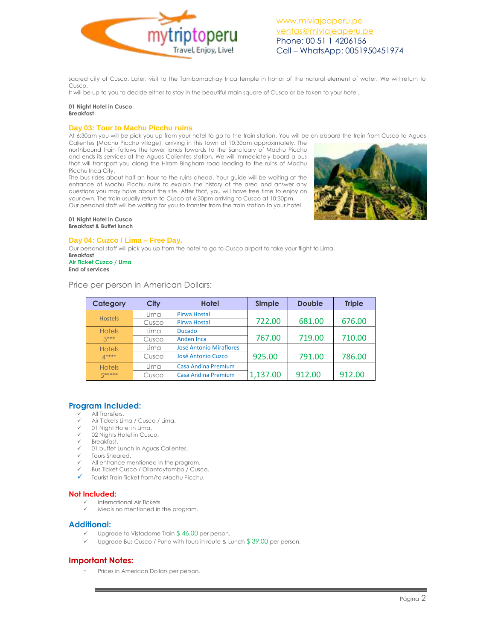

sacred city of Cusco. Later, visit to the Tambomachay Inca temple in honor of the natural element of water. We will return to Cusco.

It will be up to you to decide either to stay in the beautiful main square of Cusco or be taken to your hotel.

#### **01 Night Hotel in Cusco Breakfast**

## **Day 03: Tour to Machu Picchu ruins**

At 6:30am you will be pick you up from your hotel to go to the train station. You will be on aboard the train from Cusco to Aguas Calientes (Machu Picchu village), arriving in this town at 10:30am approximately. The northbound train follows the lower lands towards to the Sanctuary of Machu Picchu and ends its services at the Aguas Calientes station. We will immediately board a bus that will transport you along the Hiram Bingham road leading to the ruins of Machu Picchu Inca City.

The bus rides about half an hour to the ruins ahead. Your guide will be waiting at the entrance of Machu Picchu ruins to explain the history of the area and answer any questions you may have about the site. After that, you will have free time to enjoy on your own. The train usually return to Cusco at 6:30pm arriving to Cusco at 10:30pm. Our personal staff will be waiting for you to transfer from the train station to your hotel.



#### **01 Night Hotel in Cusco Breakfast & Buffet lunch**

## **Day 04: Cuzco / Lima – Free Day.**

Our personal staff will pick you up from the hotel to go to Cusco airport to take your flight to Lima.

**Breakfast Air Ticket Cuzco / Lima End of services**

Price per person in American Dollars:

| Category       | City  | <b>Hotel</b>                   | Simple   | <b>Double</b> | <b>Triple</b> |
|----------------|-------|--------------------------------|----------|---------------|---------------|
| <b>Hostels</b> | Lima  | Pirwa Hostal                   |          |               |               |
|                | Cusco | <b>Pirwa Hostal</b>            | 722.00   | 681.00        | 676.00        |
| <b>Hotels</b>  | Lima  | <b>Ducado</b>                  |          |               |               |
| $3***$         | Cusco | <b>Anden Inca</b>              | 767.00   | 719.00        | 710.00        |
| <b>Hotels</b>  | Lima  | <b>José Antonio Miraflores</b> |          |               |               |
| $A***$         | Cusco | José Antonio Cuzco             | 925.00   | 791.00        | 786.00        |
| <b>Hotels</b>  | Lima  | <b>Casa Andina Premium</b>     |          |               |               |
| 5*****         | Cusco | Casa Andina Premium            | 1,137.00 | 912.00        | 912.00        |

# **Program Included:**

- All Transfers.
- Air Tickets Lima / Cusco / Lima.
- 01 Night Hotel in Lima.
- 02 Nights Hotel in Cusco.
- Breakfast.
- 01 buffet Lunch in Aguas Calientes.
- Tours Sheared.
- All entrance mentioned in the program.
- Bus Ticket Cusco / Ollantaytambo / Cusco. Tourist Train Ticket from/to Machu Picchu.
- 

### **Not Included:**

- $\checkmark$  International Air Tickets.<br> $\checkmark$  Meals no mentioned in:
- Meals no mentioned in the program.

# **Additional:**

- Upgrade to Vistadome Train \$ 46.00 per person.
- Upgrade Bus Cusco / Puno with tours in route & Lunch \$ 39.00 per person.

# **Important Notes:**

Prices in American Dollars per person.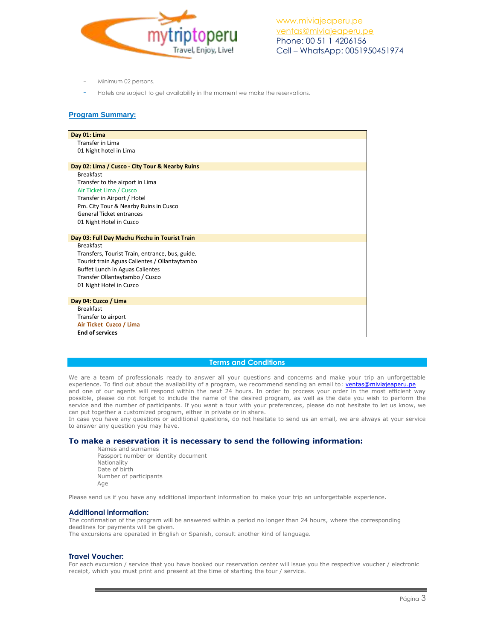

- Minimum 02 persons.
- Hotels are subject to get availability in the moment we make the reservations.

## **Program Summary:**

| Day 01: Lima                                    |
|-------------------------------------------------|
| <b>Transfer in Lima</b>                         |
| 01 Night hotel in Lima                          |
|                                                 |
| Day 02: Lima / Cusco - City Tour & Nearby Ruins |
| <b>Breakfast</b>                                |
| Transfer to the airport in Lima                 |
| Air Ticket Lima / Cusco                         |
| Transfer in Airport / Hotel                     |
| Pm. City Tour & Nearby Ruins in Cusco           |
| <b>General Ticket entrances</b>                 |
| 01 Night Hotel in Cuzco                         |
|                                                 |
| Day 03: Full Day Machu Picchu in Tourist Train  |
| <b>Breakfast</b>                                |
| Transfers, Tourist Train, entrance, bus, guide. |
| Tourist train Aguas Calientes / Ollantaytambo   |
| <b>Buffet Lunch in Aguas Calientes</b>          |
| Transfer Ollantaytambo / Cusco                  |
| 01 Night Hotel in Cuzco                         |
|                                                 |
| Day 04: Cuzco / Lima                            |
| <b>Breakfast</b>                                |
| Transfer to airport                             |
| Air Ticket Cuzco / Lima                         |
| <b>End of services</b>                          |
|                                                 |

# **Terms and Conditions**

We are a team of professionals ready to answer all your questions and concerns and make your trip an unforgettable experience. To find out about the availability of a program, we recommend sending an email to: [ventas@miviajeaperu.pe](mailto:ventas@miviajeaperu.pe) and one of our agents will respond within the next 24 hours. In order to process your order in the most efficient way possible, please do not forget to include the name of the desired program, as well as the date you wish to perform the service and the number of participants. If you want a tour with your preferences, please do not hesitate to let us know, we can put together a customized program, either in private or in share.

In case you have any questions or additional questions, do not hesitate to send us an email, we are always at your service to answer any question you may have.

## **To make a reservation it is necessary to send the following information:**

Names and surnames Passport number or identity document Nationality Date of birth Number of participants Age

Please send us if you have any additional important information to make your trip an unforgettable experience.

### **Additional information:**

The confirmation of the program will be answered within a period no longer than 24 hours, where the corresponding deadlines for payments will be given.

The excursions are operated in English or Spanish, consult another kind of language.

# **Travel Voucher:**

For each excursion / service that you have booked our reservation center will issue you the respective voucher / electronic receipt, which you must print and present at the time of starting the tour / service.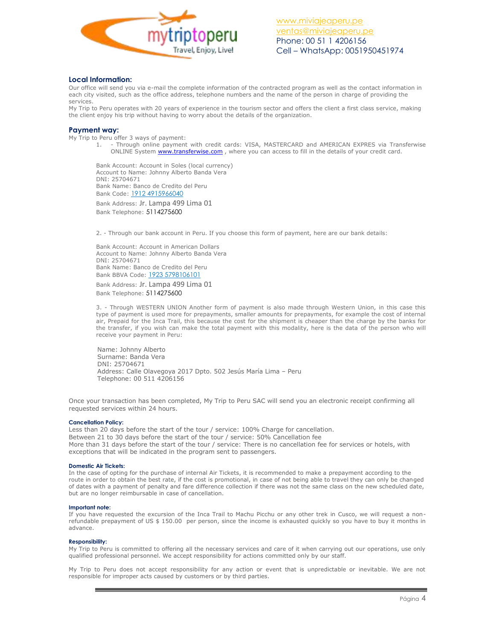

## **Local Information:**

Our office will send you via e-mail the complete information of the contracted program as well as the contact information in each city visited, such as the office address, telephone numbers and the name of the person in charge of providing the services.

My Trip to Peru operates with 20 years of experience in the tourism sector and offers the client a first class service, making the client enjoy his trip without having to worry about the details of the organization.

### **Payment way:**

My Trip to Peru offer 3 ways of payment:

1. - Through online payment with credit cards: VISA, MASTERCARD and AMERICAN EXPRES via Transferwise ONLINE System [www.transferwise.com](http://www.transferwise.com/), where you can access to fill in the details of your credit card.

Bank Account: Account in Soles (local currency) Account to Name: Johnny Alberto Banda Vera DNI: 25704671 Bank Name: Banco de Credito del Peru Bank Code: 1912 4915966040

Bank Address: Jr. Lampa 499 Lima 01 Bank Telephone: 5114275600

2. - Through our bank account in Peru. If you choose this form of payment, here are our bank details:

Bank Account: Account in American Dollars Account to Name: Johnny Alberto Banda Vera DNI: 25704671 Bank Name: Banco de Credito del Peru Bank BBVA Code: 1923 5798106101

Bank Address: Jr. Lampa 499 Lima 01 Bank Telephone: 5114275600

3. - Through WESTERN UNION Another form of payment is also made through Western Union, in this case this type of payment is used more for prepayments, smaller amounts for prepayments, for example the cost of internal air, Prepaid for the Inca Trail, this because the cost for the shipment is cheaper than the charge by the banks for the transfer, if you wish can make the total payment with this modality, here is the data of the person who will receive your payment in Peru:

 Name: Johnny Alberto Surname: Banda Vera DNI: 25704671 Address: Calle Olavegoya 2017 Dpto. 502 Jesús María Lima – Peru Telephone: 00 511 4206156

Once your transaction has been completed, My Trip to Peru SAC will send you an electronic receipt confirming all requested services within 24 hours.

#### **Cancellation Policy:**

Less than 20 days before the start of the tour / service: 100% Charge for cancellation. Between 21 to 30 days before the start of the tour / service: 50% Cancellation fee More than 31 days before the start of the tour / service: There is no cancellation fee for services or hotels, with exceptions that will be indicated in the program sent to passengers.

#### **Domestic Air Tickets:**

In the case of opting for the purchase of internal Air Tickets, it is recommended to make a prepayment according to the route in order to obtain the best rate, if the cost is promotional, in case of not being able to travel they can only be changed of dates with a payment of penalty and fare difference collection if there was not the same class on the new scheduled date, but are no longer reimbursable in case of cancellation.

#### **Important note:**

If you have requested the excursion of the Inca Trail to Machu Picchu or any other trek in Cusco, we will request a nonrefundable prepayment of US \$ 150.00 per person, since the income is exhausted quickly so you have to buy it months in advance.

#### **Responsibility:**

My Trip to Peru is committed to offering all the necessary services and care of it when carrying out our operations, use only qualified professional personnel. We accept responsibility for actions committed only by our staff.

My Trip to Peru does not accept responsibility for any action or event that is unpredictable or inevitable. We are not responsible for improper acts caused by customers or by third parties.